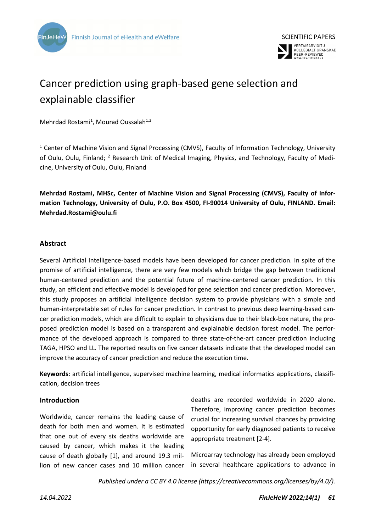



# Cancer prediction using graph-based gene selection and explainable classifier

Mehrdad Rostami<sup>1</sup>, Mourad Oussalah<sup>1,2</sup>

<sup>1</sup> Center of Machine Vision and Signal Processing (CMVS), Faculty of Information Technology, University of Oulu, Oulu, Finland; <sup>2</sup> Research Unit of Medical Imaging, Physics, and Technology, Faculty of Medicine, University of Oulu, Oulu, Finland

**Mehrdad Rostami, MHSc, Center of Machine Vision and Signal Processing (CMVS), Faculty of Information Technology, University of Oulu, P.O. Box 4500, FI-90014 University of Oulu, FINLAND. Email: Mehrdad.Rostami@oulu.fi**

# **Abstract**

Several Artificial Intelligence-based models have been developed for cancer prediction. In spite of the promise of artificial intelligence, there are very few models which bridge the gap between traditional human-centered prediction and the potential future of machine-centered cancer prediction. In this study, an efficient and effective model is developed for gene selection and cancer prediction. Moreover, this study proposes an artificial intelligence decision system to provide physicians with a simple and human-interpretable set of rules for cancer prediction. In contrast to previous deep learning-based cancer prediction models, which are difficult to explain to physicians due to their black-box nature, the proposed prediction model is based on a transparent and explainable decision forest model. The performance of the developed approach is compared to three state-of-the-art cancer prediction including TAGA, HPSO and LL. The reported results on five cancer datasets indicate that the developed model can improve the accuracy of cancer prediction and reduce the execution time.

**Keywords:** artificial intelligence, supervised machine learning, medical informatics applications, classification, decision trees

# **Introduction**

Worldwide, cancer remains the leading cause of death for both men and women. It is estimated that one out of every six deaths worldwide are caused by cancer, which makes it the leading cause of death globally [1], and around 19.3 million of new cancer cases and 10 million cancer deaths are recorded worldwide in 2020 alone. Therefore, improving cancer prediction becomes crucial for increasing survival chances by providing opportunity for early diagnosed patients to receive appropriate treatment [2-4].

Microarray technology has already been employed in several healthcare applications to advance in

*Published under a CC BY 4.0 license (https://creativecommons.org/licenses/by/4.0/).*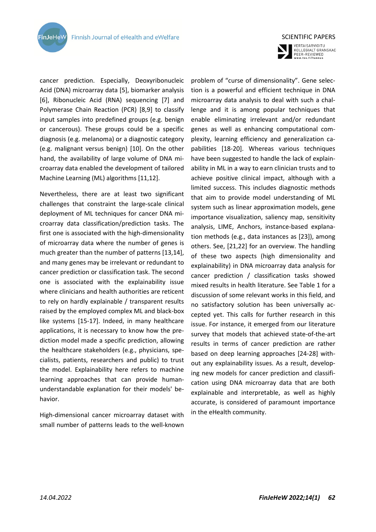**FinJeHeW** 

cancer prediction. Especially, Deoxyribonucleic Acid (DNA) microarray data [5], biomarker analysis [6], Ribonucleic Acid (RNA) sequencing [7] and Polymerase Chain Reaction (PCR) [8,9] to classify input samples into predefined groups (e.g. benign or cancerous). These groups could be a specific diagnosis (e.g. melanoma) or a diagnostic category (e.g. malignant versus benign) [10]. On the other hand, the availability of large volume of DNA microarray data enabled the development of tailored Machine Learning (ML) algorithms [11,12].

Nevertheless, there are at least two significant challenges that constraint the large-scale clinical deployment of ML techniques for cancer DNA microarray data classification/prediction tasks. The first one is associated with the high-dimensionality of microarray data where the number of genes is much greater than the number of patterns [13,14], and many genes may be irrelevant or redundant to cancer prediction or classification task. The second one is associated with the explainability issue where clinicians and health authorities are reticent to rely on hardly explainable / transparent results raised by the employed complex ML and black-box like systems [15-17]. Indeed, in many healthcare applications, it is necessary to know how the prediction model made a specific prediction, allowing the healthcare stakeholders (e.g., physicians, specialists, patients, researchers and public) to trust the model. Explainability here refers to machine learning approaches that can provide humanunderstandable explanation for their models' behavior.

High-dimensional cancer microarray dataset with small number of patterns leads to the well-known



SCIENTIFIC PAPERS

VERTAISARVIOITU<br>KOLLEGIALT GRANSKAD<br>PEER-REVIEWED<br>www.tsv.fi/tunnus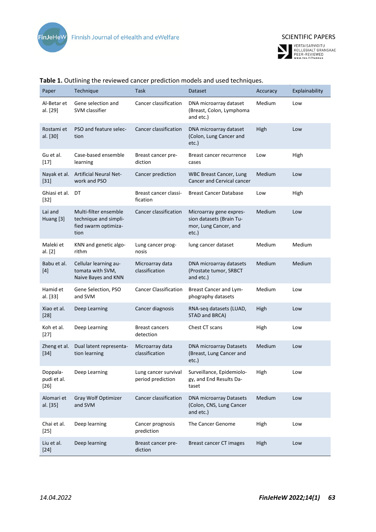



| Paper                             | Technique                                                                      | Task                                      | Dataset                                                                                  | Accuracy | Explainability |
|-----------------------------------|--------------------------------------------------------------------------------|-------------------------------------------|------------------------------------------------------------------------------------------|----------|----------------|
| Al-Betar et<br>al. [29]           | Gene selection and<br>SVM classifier                                           | Cancer classification                     | DNA microarray dataset<br>(Breast, Colon, Lymphoma<br>and etc.)                          | Medium   | Low            |
| Rostami et<br>al. [30]            | PSO and feature selec-<br>tion                                                 | Cancer classification                     | DNA microarray dataset<br>(Colon, Lung Cancer and<br>etc.)                               | High     | Low            |
| Gu et al.<br>$[17]$               | Case-based ensemble<br>learning                                                | Breast cancer pre-<br>diction             | Breast cancer recurrence<br>cases                                                        | Low      | High           |
| Nayak et al.<br>$[31]$            | <b>Artificial Neural Net-</b><br>work and PSO                                  | Cancer prediction                         | <b>WBC Breast Cancer, Lung</b><br>Cancer and Cervical cancer                             | Medium   | Low            |
| Ghiasi et al.<br>$[32]$           | DT                                                                             | Breast cancer classi-<br>fication         | <b>Breast Cancer Database</b>                                                            | Low      | High           |
| Lai and<br>Huang [3]              | Multi-filter ensemble<br>technique and simpli-<br>fied swarm optimiza-<br>tion | Cancer classification                     | Microarray gene expres-<br>sion datasets (Brain Tu-<br>mor, Lung Cancer, and<br>$etc.$ ) | Medium   | Low            |
| Maleki et<br>al. [2]              | KNN and genetic algo-<br>rithm                                                 | Lung cancer prog-<br>nosis                | lung cancer dataset                                                                      | Medium   | Medium         |
| Babu et al.<br>$[4]$              | Cellular learning au-<br>tomata with SVM,<br>Naive Bayes and KNN               | Microarray data<br>classification         | DNA microarray datasets<br>(Prostate tumor, SRBCT<br>and etc.)                           | Medium   | Medium         |
| Hamid et<br>al. [33]              | Gene Selection, PSO<br>and SVM                                                 | <b>Cancer Classification</b>              | Breast Cancer and Lym-<br>phography datasets                                             | Medium   | Low            |
| Xiao et al.<br>$[28]$             | Deep Learning                                                                  | Cancer diagnosis                          | RNA-seq datasets (LUAD,<br>STAD and BRCA)                                                | High     | Low            |
| Koh et al.<br>$[27]$              | Deep Learning                                                                  | <b>Breast cancers</b><br>detection        | Chest CT scans                                                                           | High     | Low            |
| Zheng et al.<br>$[34]$            | Dual latent representa-<br>tion learning                                       | Microarray data<br>classification         | <b>DNA microarray Datasets</b><br>(Breast, Lung Cancer and<br>$etc.$ )                   | Medium   | Low            |
| Doppala-<br>pudi et al.<br>$[26]$ | Deep Learning                                                                  | Lung cancer survival<br>period prediction | Surveillance, Epidemiolo-<br>gy, and End Results Da-<br>taset                            | High     | Low            |
| Alomari et<br>al. [35]            | Gray Wolf Optimizer<br>and SVM                                                 | Cancer classification                     | DNA microarray Datasets<br>(Colon, CNS, Lung Cancer<br>and etc.)                         | Medium   | Low            |
| Chai et al.<br>$[25]$             | Deep learning                                                                  | Cancer prognosis<br>prediction            | The Cancer Genome                                                                        | High     | Low            |
| Liu et al.<br>$[24]$              | Deep learning                                                                  | Breast cancer pre-<br>diction             | Breast cancer CT images                                                                  | High     | Low            |

# **Table 1.** Outlining the reviewed cancer prediction models and used techniques.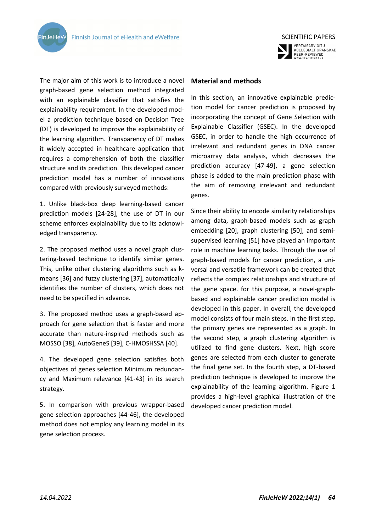**FinJeHeV** 



The major aim of this work is to introduce a novel graph-based gene selection method integrated with an explainable classifier that satisfies the explainability requirement. In the developed model a prediction technique based on Decision Tree (DT) is developed to improve the explainability of the learning algorithm. Transparency of DT makes it widely accepted in healthcare application that requires a comprehension of both the classifier structure and its prediction. This developed cancer prediction model has a number of innovations compared with previously surveyed methods:

1. Unlike black-box deep learning-based cancer prediction models [24-28], the use of DT in our scheme enforces explainability due to its acknowledged transparency.

2. The proposed method uses a novel graph clustering-based technique to identify similar genes. This, unlike other clustering algorithms such as kmeans [36] and fuzzy clustering [37], automatically identifies the number of clusters, which does not need to be specified in advance.

3. The proposed method uses a graph-based approach for gene selection that is faster and more accurate than nature-inspired methods such as MOSSO [38], AutoGeneS [39], C-HMOSHSSA [40].

4. The developed gene selection satisfies both objectives of genes selection Minimum redundancy and Maximum relevance [41-43] in its search strategy.

5. In comparison with previous wrapper-based gene selection approaches [44-46], the developed method does not employ any learning model in its gene selection process.

# **Material and methods**

In this section, an innovative explainable prediction model for cancer prediction is proposed by incorporating the concept of Gene Selection with Explainable Classifier (GSEC). In the developed GSEC, in order to handle the high occurrence of irrelevant and redundant genes in DNA cancer microarray data analysis, which decreases the prediction accuracy [47-49], a gene selection phase is added to the main prediction phase with the aim of removing irrelevant and redundant genes.

Since their ability to encode similarity relationships among data, graph-based models such as graph embedding [20], graph clustering [50], and semisupervised learning [51] have played an important role in machine learning tasks. Through the use of graph-based models for cancer prediction, a universal and versatile framework can be created that reflects the complex relationships and structure of the gene space. for this purpose, a novel-graphbased and explainable cancer prediction model is developed in this paper. In overall, the developed model consists of four main steps. In the first step, the primary genes are represented as a graph. In the second step, a graph clustering algorithm is utilized to find gene clusters. Next, high score genes are selected from each cluster to generate the final gene set. In the fourth step, a DT-based prediction technique is developed to improve the explainability of the learning algorithm. Figure 1 provides a high-level graphical illustration of the developed cancer prediction model.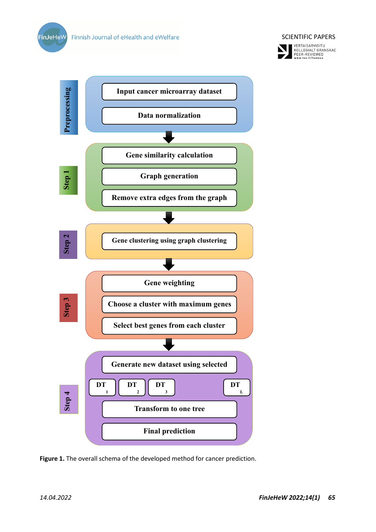



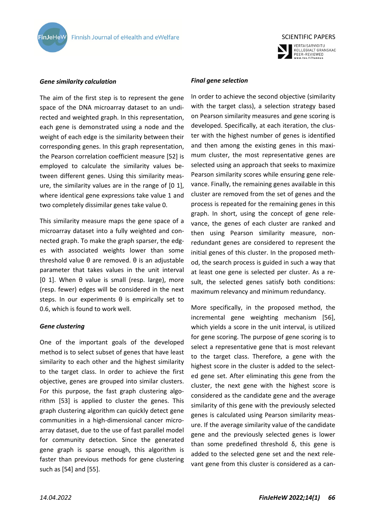



### *Gene similarity calculation*

The aim of the first step is to represent the gene space of the DNA microarray dataset to an undirected and weighted graph. In this representation, each gene is demonstrated using a node and the weight of each edge is the similarity between their corresponding genes. In this graph representation, the Pearson correlation coefficient measure [52] is employed to calculate the similarity values between different genes. Using this similarity measure, the similarity values are in the range of [0 1], where identical gene expressions take value 1 and two completely dissimilar genes take value 0.

This similarity measure maps the gene space of a microarray dataset into a fully weighted and connected graph. To make the graph sparser, the edges with associated weights lower than some threshold value θ are removed. θ is an adjustable parameter that takes values in the unit interval [0 1]. When θ value is small (resp. large), more (resp. fewer) edges will be considered in the next steps. In our experiments  $\theta$  is empirically set to 0.6, which is found to work well.

#### *Gene clustering*

One of the important goals of the developed method is to select subset of genes that have least similarity to each other and the highest similarity to the target class. In order to achieve the first objective, genes are grouped into similar clusters. For this purpose, the fast graph clustering algorithm [53] is applied to cluster the genes. This graph clustering algorithm can quickly detect gene communities in a high-dimensional cancer microarray dataset, due to the use of fast parallel model for community detection. Since the generated gene graph is sparse enough, this algorithm is faster than previous methods for gene clustering such as [54] and [55].

#### *Final gene selection*

In order to achieve the second objective (similarity with the target class), a selection strategy based on Pearson similarity measures and gene scoring is developed. Specifically, at each iteration, the cluster with the highest number of genes is identified and then among the existing genes in this maximum cluster, the most representative genes are selected using an approach that seeks to maximize Pearson similarity scores while ensuring gene relevance. Finally, the remaining genes available in this cluster are removed from the set of genes and the process is repeated for the remaining genes in this graph. In short, using the concept of gene relevance, the genes of each cluster are ranked and then using Pearson similarity measure, nonredundant genes are considered to represent the initial genes of this cluster. In the proposed method, the search process is guided in such a way that at least one gene is selected per cluster. As a result, the selected genes satisfy both conditions: maximum relevancy and minimum redundancy.

More specifically, in the proposed method, the incremental gene weighting mechanism [56], which yields a score in the unit interval, is utilized for gene scoring. The purpose of gene scoring is to select a representative gene that is most relevant to the target class. Therefore, a gene with the highest score in the cluster is added to the selected gene set. After eliminating this gene from the cluster, the next gene with the highest score is considered as the candidate gene and the average similarity of this gene with the previously selected genes is calculated using Pearson similarity measure. If the average similarity value of the candidate gene and the previously selected genes is lower than some predefined threshold δ, this gene is added to the selected gene set and the next relevant gene from this cluster is considered as a can-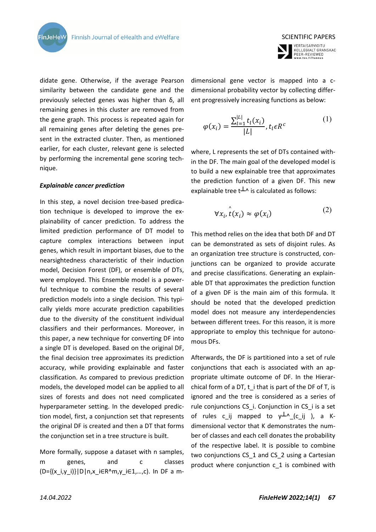SCIENTIFIC PAPERS VERTAISARVIOITU<br>KOLLEGIALT GRANSKAD<br>PEER-REVIEWED<br>www.tsv.fi/tunnus

didate gene. Otherwise, if the average Pearson similarity between the candidate gene and the previously selected genes was higher than δ, all remaining genes in this cluster are removed from the gene graph. This process is repeated again for all remaining genes after deleting the genes present in the extracted cluster. Then, as mentioned earlier, for each cluster, relevant gene is selected by performing the incremental gene scoring technique.

#### *Explainable cancer prediction*

**FinJeHeW** 

In this step, a novel decision tree-based predication technique is developed to improve the explainability of cancer prediction. To address the limited prediction performance of DT model to capture complex interactions between input genes, which result in important biases, due to the nearsightedness characteristic of their induction model, Decision Forest (DF), or ensemble of DTs, were employed. This Ensemble model is a powerful technique to combine the results of several prediction models into a single decision. This typically yields more accurate prediction capabilities due to the diversity of the constituent individual classifiers and their performances. Moreover, in this paper, a new technique for converting DF into a single DT is developed. Based on the original DF, the final decision tree approximates its prediction accuracy, while providing explainable and faster classification. As compared to previous prediction models, the developed model can be applied to all sizes of forests and does not need complicated hyperparameter setting. In the developed prediction model, first, a conjunction set that represents the original DF is created and then a DT that forms the conjunction set in a tree structure is built.

More formally, suppose a dataset with n samples, m genes, and c classes (D={(x\_i,y\_i)}|D|n,x\_i∈R^m,y\_i∈1,…,c). In DF a mdimensional gene vector is mapped into a cdimensional probability vector by collecting different progressively increasing functions as below:

$$
\varphi(x_i) = \frac{\sum_{l=1}^{|L|} t_l(x_i)}{|L|}, t_l \in R^c
$$
 (1)

where, L represents the set of DTs contained within the DF. The main goal of the developed model is to build a new explainable tree that approximates the prediction function of a given DF. This new explainable tree  $t^{\perp}$  is calculated as follows:

$$
\forall x_i, \stackrel{\wedge}{t}(x_i) \approx \varphi(x_i) \tag{2}
$$

This method relies on the idea that both DF and DT can be demonstrated as sets of disjoint rules. As an organization tree structure is constructed, conjunctions can be organized to provide accurate and precise classifications. Generating an explainable DT that approximates the prediction function of a given DF is the main aim of this formula. It should be noted that the developed prediction model does not measure any interdependencies between different trees. For this reason, it is more appropriate to employ this technique for autonomous DFs.

Afterwards, the DF is partitioned into a set of rule conjunctions that each is associated with an appropriate ultimate outcome of DF. In the Hierarchical form of a DT, t\_i that is part of the DF of T, is ignored and the tree is considered as a series of rule conjunctions CS i. Conjunction in CS i is a set of rules c ij mapped to  $y^{\perp \wedge}$  (c ij ), a Kdimensional vector that K demonstrates the number of classes and each cell donates the probability of the respective label. It is possible to combine two conjunctions CS 1 and CS 2 using a Cartesian product where conjunction c\_1 is combined with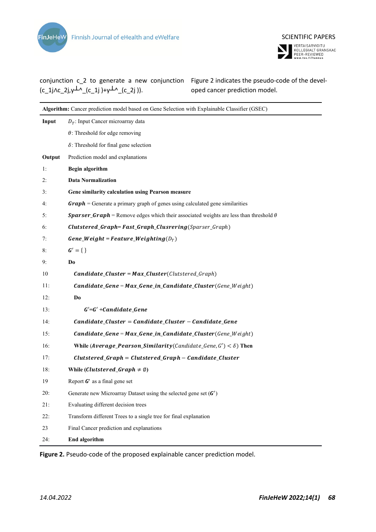



conjunction c\_2 to generate a new conjunction Figure 2 indicates the pseudo-code of the devel- $(c_1j\wedge c_2j,\vee^{l\wedge}(c_1j)+\vee^{l\wedge}(c_2j)).$ 

oped cancer prediction model.

| Algorithm: Cancer prediction model based on Gene Selection with Explainable Classifier (GSEC) |                                                                                                                        |  |  |
|-----------------------------------------------------------------------------------------------|------------------------------------------------------------------------------------------------------------------------|--|--|
| Input                                                                                         | $D_T$ : Input Cancer microarray data                                                                                   |  |  |
|                                                                                               | $\theta$ : Threshold for edge removing                                                                                 |  |  |
|                                                                                               | $\delta$ : Threshold for final gene selection                                                                          |  |  |
| Output                                                                                        | Prediction model and explanations                                                                                      |  |  |
| 1:                                                                                            | <b>Begin algorithm</b>                                                                                                 |  |  |
| 2:                                                                                            | <b>Data Normalization</b>                                                                                              |  |  |
| 3:                                                                                            | Gene similarity calculation using Pearson measure                                                                      |  |  |
| 4:                                                                                            | $Graph =$ Generate a primary graph of genes using calculated gene similarities                                         |  |  |
| 5:                                                                                            | <b>Sparser_Graph</b> = Remove edges which their associated weights are less than threshold $\theta$                    |  |  |
| 6:                                                                                            | <b>Clutstered_Graph=Fast_Graph_Clusrering(Sparser_Graph)</b>                                                           |  |  |
| 7:                                                                                            | Gene_Weight = Feature_Weighting( $D_T$ )                                                                               |  |  |
| 8:                                                                                            | $G' = \{\}\$                                                                                                           |  |  |
| 9:                                                                                            | Do                                                                                                                     |  |  |
| 10                                                                                            | $\mathcal{C}$ andidate_ $\mathcal{C}$ luster = Max_ $\mathcal{C}$ luster( $\mathcal{C}$ lutstered_ $\mathcal{G}$ raph) |  |  |
| 11:                                                                                           | $\mathcal{C}$ andidate_Gene = Max_Gene_in_Candidate_Cluster(Gene_Weight)                                               |  |  |
| 12:                                                                                           | Do                                                                                                                     |  |  |
| 13:                                                                                           | $G' = G' + Candidate\_Gene$                                                                                            |  |  |
| 14:                                                                                           | $Candidate_Cluster = Candidate_Cluster - Candidate\_Gene$                                                              |  |  |
| 15:                                                                                           | $\mathcal{C}$ andidate_Gene = Max_Gene_in_Candidate_Cluster(Gene_Weight)                                               |  |  |
| 16:                                                                                           | While (Average_Pearson_Similarity(Candidate_Gene, $G'$ ) < $\delta$ ) Then                                             |  |  |
| 17:                                                                                           | $Clutstered_C graph = Clutstered_C graph - Candidate_C luster$                                                         |  |  |
| 18:                                                                                           | While ( <i>Clutstered_Graph</i> $\neq \emptyset$ )                                                                     |  |  |
| 19                                                                                            | Report $G'$ as a final gene set                                                                                        |  |  |
| 20:                                                                                           | Generate new Microarray Dataset using the selected gene set $(G')$                                                     |  |  |
| 21:                                                                                           | Evaluating different decision trees                                                                                    |  |  |
| 22:                                                                                           | Transform different Trees to a single tree for final explanation                                                       |  |  |
| 23                                                                                            | Final Cancer prediction and explanations                                                                               |  |  |
| 24:                                                                                           | <b>End algorithm</b>                                                                                                   |  |  |

**Figure 2.** Pseudo-code of the proposed explainable cancer prediction model.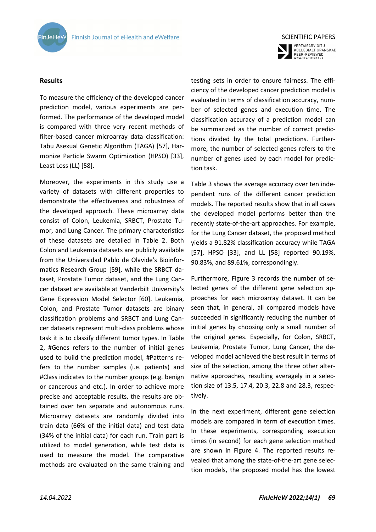



VERTAISARVIOITU<br>KOLLEGIALT GRANSKAD<br>PEER-REVIEWED<br>www.tsv.fi/tunnus

# **Results**

To measure the efficiency of the developed cancer prediction model, various experiments are performed. The performance of the developed model is compared with three very recent methods of filter-based cancer microarray data classification: Tabu Asexual Genetic Algorithm (TAGA) [57], Harmonize Particle Swarm Optimization (HPSO) [33], Least Loss (LL) [58].

Moreover, the experiments in this study use a variety of datasets with different properties to demonstrate the effectiveness and robustness of the developed approach. These microarray data consist of Colon, Leukemia, SRBCT, Prostate Tumor, and Lung Cancer. The primary characteristics of these datasets are detailed in Table 2. Both Colon and Leukemia datasets are publicly available from the Universidad Pablo de Olavide's Bioinformatics Research Group [59], while the SRBCT dataset, Prostate Tumor dataset, and the Lung Cancer dataset are available at Vanderbilt University's Gene Expression Model Selector [60]. Leukemia, Colon, and Prostate Tumor datasets are binary classification problems and SRBCT and Lung Cancer datasets represent multi-class problems whose task it is to classify different tumor types. In Table 2, #Genes refers to the number of initial genes used to build the prediction model, #Patterns refers to the number samples (i.e. patients) and #Class indicates to the number groups (e.g. benign or cancerous and etc.). In order to achieve more precise and acceptable results, the results are obtained over ten separate and autonomous runs. Microarray datasets are randomly divided into train data (66% of the initial data) and test data (34% of the initial data) for each run. Train part is utilized to model generation, while test data is used to measure the model. The comparative methods are evaluated on the same training and testing sets in order to ensure fairness. The efficiency of the developed cancer prediction model is evaluated in terms of classification accuracy, number of selected genes and execution time. The classification accuracy of a prediction model can be summarized as the number of correct predictions divided by the total predictions. Furthermore, the number of selected genes refers to the number of genes used by each model for prediction task.

Table 3 shows the average accuracy over ten independent runs of the different cancer prediction models. The reported results show that in all cases the developed model performs better than the recently state-of-the-art approaches. For example, for the Lung Cancer dataset, the proposed method yields a 91.82% classification accuracy while TAGA [57], HPSO [33], and LL [58] reported 90.19%, 90.83%, and 89.61%, correspondingly.

Furthermore, Figure 3 records the number of selected genes of the different gene selection approaches for each microarray dataset. It can be seen that, in general, all compared models have succeeded in significantly reducing the number of initial genes by choosing only a small number of the original genes. Especially, for Colon, SRBCT, Leukemia, Prostate Tumor, Lung Cancer, the developed model achieved the best result in terms of size of the selection, among the three other alternative approaches, resulting averagely in a selection size of 13.5, 17.4, 20.3, 22.8 and 28.3, respectively.

In the next experiment, different gene selection models are compared in term of execution times. In these experiments, corresponding execution times (in second) for each gene selection method are shown in Figure 4. The reported results revealed that among the state-of-the-art gene selection models, the proposed model has the lowest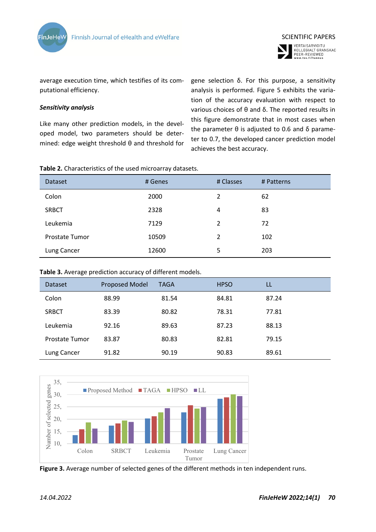



average execution time, which testifies of its computational efficiency.

## *Sensitivity analysis*

Like many other prediction models, in the developed model, two parameters should be determined: edge weight threshold θ and threshold for

gene selection δ. For this purpose, a sensitivity analysis is performed. Figure 5 exhibits the variation of the accuracy evaluation with respect to various choices of θ and δ. The reported results in this figure demonstrate that in most cases when the parameter  $θ$  is adjusted to 0.6 and  $δ$  parameter to 0.7, the developed cancer prediction model achieves the best accuracy.

| Table 2. Characteristics of the used microarray datasets. |  |  |  |
|-----------------------------------------------------------|--|--|--|
|-----------------------------------------------------------|--|--|--|

| Dataset               | # Genes | # Classes     | # Patterns |
|-----------------------|---------|---------------|------------|
| Colon                 | 2000    | $\mathcal{L}$ | 62         |
| <b>SRBCT</b>          | 2328    | 4             | 83         |
| Leukemia              | 7129    | $\mathcal{P}$ | 72         |
| <b>Prostate Tumor</b> | 10509   | 2             | 102        |
| Lung Cancer           | 12600   | 5             | 203        |

#### **Table 3.** Average prediction accuracy of different models.

| Dataset        | <b>Proposed Model</b> | <b>TAGA</b> | <b>HPSO</b> | LL    |
|----------------|-----------------------|-------------|-------------|-------|
| Colon          | 88.99                 | 81.54       | 84.81       | 87.24 |
| <b>SRBCT</b>   | 83.39                 | 80.82       | 78.31       | 77.81 |
| Leukemia       | 92.16                 | 89.63       | 87.23       | 88.13 |
| Prostate Tumor | 83.87                 | 80.83       | 82.81       | 79.15 |
| Lung Cancer    | 91.82                 | 90.19       | 90.83       | 89.61 |



**Figure 3.** Average number of selected genes of the different methods in ten independent runs.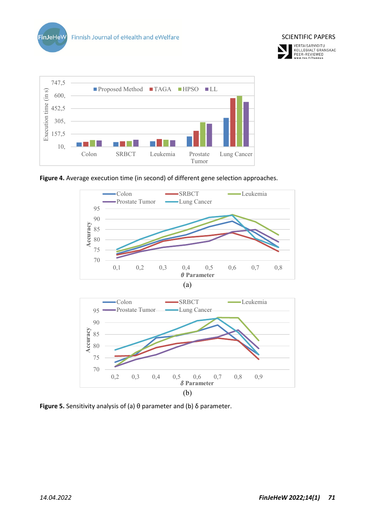







**Figure 5.** Sensitivity analysis of (a) θ parameter and (b) δ parameter.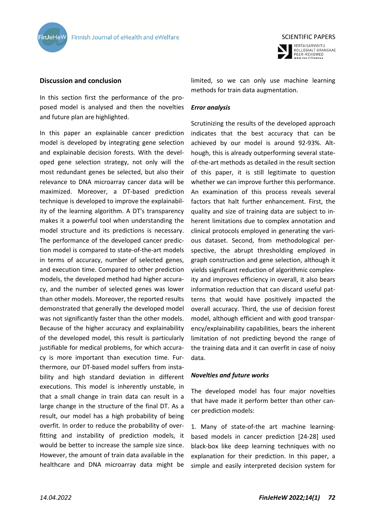



# **Discussion and conclusion**

In this section first the performance of the proposed model is analysed and then the novelties and future plan are highlighted.

In this paper an explainable cancer prediction model is developed by integrating gene selection and explainable decision forests. With the developed gene selection strategy, not only will the most redundant genes be selected, but also their relevance to DNA microarray cancer data will be maximized. Moreover, a DT-based prediction technique is developed to improve the explainability of the learning algorithm. A DT's transparency makes it a powerful tool when understanding the model structure and its predictions is necessary. The performance of the developed cancer prediction model is compared to state-of-the-art models in terms of accuracy, number of selected genes, and execution time. Compared to other prediction models, the developed method had higher accuracy, and the number of selected genes was lower than other models. Moreover, the reported results demonstrated that generally the developed model was not significantly faster than the other models. Because of the higher accuracy and explainability of the developed model, this result is particularly justifiable for medical problems, for which accuracy is more important than execution time. Furthermore, our DT-based model suffers from instability and high standard deviation in different executions. This model is inherently unstable, in that a small change in train data can result in a large change in the structure of the final DT. As a result, our model has a high probability of being overfit. In order to reduce the probability of overfitting and instability of prediction models, it would be better to increase the sample size since. However, the amount of train data available in the healthcare and DNA microarray data might be

limited, so we can only use machine learning methods for train data augmentation.

#### *Error analysis*

Scrutinizing the results of the developed approach indicates that the best accuracy that can be achieved by our model is around 92-93%. Although, this is already outperforming several stateof-the-art methods as detailed in the result section of this paper, it is still legitimate to question whether we can improve further this performance. An examination of this process reveals several factors that halt further enhancement. First, the quality and size of training data are subject to inherent limitations due to complex annotation and clinical protocols employed in generating the various dataset. Second, from methodological perspective, the abrupt thresholding employed in graph construction and gene selection, although it yields significant reduction of algorithmic complexity and improves efficiency in overall, it also bears information reduction that can discard useful patterns that would have positively impacted the overall accuracy. Third, the use of decision forest model, although efficient and with good transparency/explainability capabilities, bears the inherent limitation of not predicting beyond the range of the training data and it can overfit in case of noisy data.

#### *Novelties and future works*

The developed model has four major novelties that have made it perform better than other cancer prediction models:

1. Many of state-of-the art machine learningbased models in cancer prediction [24-28] used black-box like deep learning techniques with no explanation for their prediction. In this paper, a simple and easily interpreted decision system for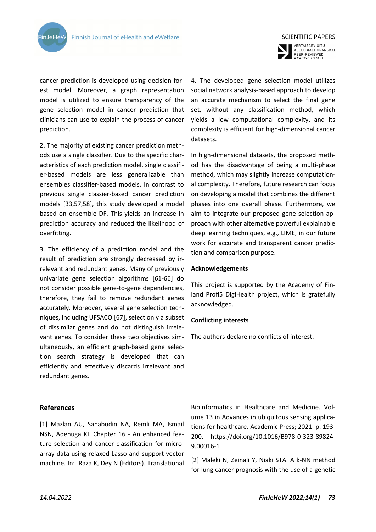

cancer prediction is developed using decision forest model. Moreover, a graph representation model is utilized to ensure transparency of the gene selection model in cancer prediction that clinicians can use to explain the process of cancer prediction.

2. The majority of existing cancer prediction methods use a single classifier. Due to the specific characteristics of each prediction model, single classifier-based models are less generalizable than ensembles classifier-based models. In contrast to previous single classier-based cancer prediction models [33,57,58], this study developed a model based on ensemble DF. This yields an increase in prediction accuracy and reduced the likelihood of overfitting.

3. The efficiency of a prediction model and the result of prediction are strongly decreased by irrelevant and redundant genes. Many of previously univariate gene selection algorithms [61-66] do not consider possible gene-to-gene dependencies, therefore, they fail to remove redundant genes accurately. Moreover, several gene selection techniques, including UFSACO [67], select only a subset of dissimilar genes and do not distinguish irrelevant genes. To consider these two objectives simultaneously, an efficient graph-based gene selection search strategy is developed that can efficiently and effectively discards irrelevant and redundant genes.

#### **References**

[1] Mazlan AU, Sahabudin NA, Remli MA, Ismail NSN, Adenuga KI. Chapter 16 - An enhanced feature selection and cancer classification for microarray data using relaxed Lasso and support vector machine. In: Raza K, Dey N (Editors). Translational



VERTAISARVIOITU<br>KOLLEGIALT GRANSKAD<br>PEER-REVIEWED<br>www.tsv.fi/tunnus

4. The developed gene selection model utilizes social network analysis-based approach to develop an accurate mechanism to select the final gene set, without any classification method, which yields a low computational complexity, and its complexity is efficient for high-dimensional cancer datasets.

In high-dimensional datasets, the proposed method has the disadvantage of being a multi-phase method, which may slightly increase computational complexity. Therefore, future research can focus on developing a model that combines the different phases into one overall phase. Furthermore, we aim to integrate our proposed gene selection approach with other alternative powerful explainable deep learning techniques, e.g., LIME, in our future work for accurate and transparent cancer prediction and comparison purpose.

#### **Acknowledgements**

This project is supported by the Academy of Finland Profi5 DigiHealth project, which is gratefully acknowledged.

#### **Conflicting interests**

The authors declare no conflicts of interest.

Bioinformatics in Healthcare and Medicine. Volume 13 in Advances in ubiquitous sensing applications for healthcare. Academic Press; 2021. p. 193- 200. https://doi.org/10.1016/B978-0-323-89824- 9.00016-1

[2] Maleki N, Zeinali Y, Niaki STA. A k-NN method for lung cancer prognosis with the use of a genetic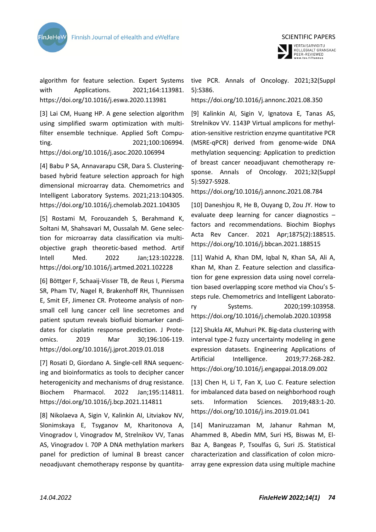



algorithm for feature selection. Expert Systems with Applications. 2021;164:113981. https://doi.org/10.1016/j.eswa.2020.113981

[3] Lai CM, Huang HP. A gene selection algorithm using simplified swarm optimization with multifilter ensemble technique. Applied Soft Computing. 2021;100:106994. https://doi.org/10.1016/j.asoc.2020.106994

[4] Babu P SA, Annavarapu CSR, Dara S. Clusteringbased hybrid feature selection approach for high dimensional microarray data. Chemometrics and Intelligent Laboratory Systems. 2021;213:104305. https://doi.org/10.1016/j.chemolab.2021.104305

[5] Rostami M, Forouzandeh S, Berahmand K, Soltani M, Shahsavari M, Oussalah M. Gene selection for microarray data classification via multiobjective graph theoretic-based method. Artif Intell Med. 2022 Jan;123:102228. https://doi.org/10.1016/j.artmed.2021.102228

[6] Böttger F, Schaaij-Visser TB, de Reus I, Piersma SR, Pham TV, Nagel R, Brakenhoff RH, Thunnissen E, Smit EF, Jimenez CR. Proteome analysis of nonsmall cell lung cancer cell line secretomes and patient sputum reveals biofluid biomarker candidates for cisplatin response prediction. J Proteomics. 2019 Mar 30;196:106-119. https://doi.org/10.1016/j.jprot.2019.01.018

[7] Rosati D, Giordano A. Single-cell RNA sequencing and bioinformatics as tools to decipher cancer heterogenicity and mechanisms of drug resistance. Biochem Pharmacol. 2022 Jan;195:114811. https://doi.org/10.1016/j.bcp.2021.114811

[8] Nikolaeva A, Sigin V, Kalinkin AI, Litviakov NV, Slonimskaya E, Tsyganov M, Kharitonova A, Vinogradov I, Vinogradov M, Strelnikov VV, Tanas AS, Vinogradov I. 70P A DNA methylation markers panel for prediction of luminal B breast cancer neoadjuvant chemotherapy response by quantita-

tive PCR. Annals of Oncology. 2021;32(Suppl 5):S386.

# https://doi.org/10.1016/j.annonc.2021.08.350

[9] Kalinkin AI, Sigin V, Ignatova E, Tanas AS, Strelnikov VV. 1143P Virtual amplicons for methylation-sensitive restriction enzyme quantitative PCR (MSRE-qPCR) derived from genome-wide DNA methylation sequencing: Application to prediction of breast cancer neoadjuvant chemotherapy response. Annals of Oncology. 2021;32(Suppl 5):S927-S928.

https://doi.org/10.1016/j.annonc.2021.08.784

[10] Daneshjou R, He B, Ouyang D, Zou JY. How to evaluate deep learning for cancer diagnostics – factors and recommendations. Biochim Biophys Acta Rev Cancer. 2021 Apr;1875(2):188515. https://doi.org/10.1016/j.bbcan.2021.188515

[11] Wahid A, Khan DM, Iqbal N, Khan SA, Ali A, Khan M, Khan Z. Feature selection and classification for gene expression data using novel correlation based overlapping score method via Chou's 5 steps rule. Chemometrics and Intelligent Laboratory Systems. 2020;199:103958. https://doi.org/10.1016/j.chemolab.2020.103958

[12] Shukla AK, Muhuri PK. Big-data clustering with interval type-2 fuzzy uncertainty modeling in gene expression datasets. Engineering Applications of Artificial Intelligence. 2019;77:268-282. https://doi.org/10.1016/j.engappai.2018.09.002

[13] Chen H, Li T, Fan X, Luo C. Feature selection for imbalanced data based on neighborhood rough sets. Information Sciences. 2019;483:1-20. https://doi.org/10.1016/j.ins.2019.01.041

[14] Maniruzzaman M, Jahanur Rahman M, Ahammed B, Abedin MM, Suri HS, Biswas M, El-Baz A, Bangeas P, Tsoulfas G, Suri JS. Statistical characterization and classification of colon microarray gene expression data using multiple machine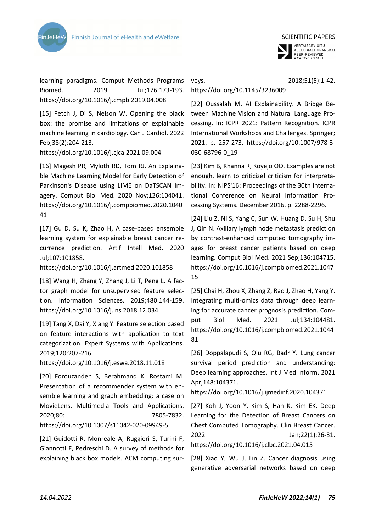



learning paradigms. Comput Methods Programs Biomed. 2019 Jul;176:173-193. https://doi.org/10.1016/j.cmpb.2019.04.008

[15] Petch J, Di S, Nelson W. Opening the black box: the promise and limitations of explainable machine learning in cardiology. Can J Cardiol. 2022 Feb;38(2):204-213.

https://doi.org/10.1016/j.cjca.2021.09.004

[16] Magesh PR, Myloth RD, Tom RJ. An Explainable Machine Learning Model for Early Detection of Parkinson's Disease using LIME on DaTSCAN Imagery. Comput Biol Med. 2020 Nov;126:104041. https://doi.org/10.1016/j.compbiomed.2020.1040 41

[17] Gu D, Su K, Zhao H, A case-based ensemble learning system for explainable breast cancer recurrence prediction. Artif Intell Med. 2020 Jul;107:101858.

https://doi.org/10.1016/j.artmed.2020.101858

[18] Wang H, Zhang Y, Zhang J, Li T, Peng L. A factor graph model for unsupervised feature selection. Information Sciences. 2019;480:144-159. https://doi.org/10.1016/j.ins.2018.12.034

[19] Tang X, Dai Y, Xiang Y. Feature selection based on feature interactions with application to text categorization. Expert Systems with Applications. 2019;120:207-216.

https://doi.org/10.1016/j.eswa.2018.11.018

[20] Forouzandeh S, Berahmand K, Rostami M. Presentation of a recommender system with ensemble learning and graph embedding: a case on MovieLens. Multimedia Tools and Applications. 2020;80: 7805-7832. https://doi.org/10.1007/s11042-020-09949-5

[21] Guidotti R, Monreale A, Ruggieri S, Turini F, Giannotti F, Pedreschi D. A survey of methods for explaining black box models. ACM computing sur-

veys. 2018;51(5):1-42.

# https://doi.org/10.1145/3236009

[22] Oussalah M. AI Explainability. A Bridge Between Machine Vision and Natural Language Processing. In: ICPR 2021: Pattern Recognition. ICPR International Workshops and Challenges. Springer; 2021. p. 257-273. https://doi.org/10.1007/978-3- 030-68796-0\_19

[23] Kim B, Khanna R, Koyejo OO. Examples are not enough, learn to criticize! criticism for interpretability. In: NIPS'16: Proceedings of the 30th International Conference on Neural Information Processing Systems. December 2016. p. 2288-2296.

[24] Liu Z, Ni S, Yang C, Sun W, Huang D, Su H, Shu J, Qin N. Axillary lymph node metastasis prediction by contrast-enhanced computed tomography images for breast cancer patients based on deep learning. Comput Biol Med. 2021 Sep;136:104715. https://doi.org/10.1016/j.compbiomed.2021.1047 15

[25] Chai H, Zhou X, Zhang Z, Rao J, Zhao H, Yang Y. Integrating multi-omics data through deep learning for accurate cancer prognosis prediction. Comput Biol Med. 2021 Jul;134:104481. https://doi.org/10.1016/j.compbiomed.2021.1044 81

[26] Doppalapudi S, Qiu RG, Badr Y. Lung cancer survival period prediction and understanding: Deep learning approaches. Int J Med Inform. 2021 Apr;148:104371.

https://doi.org/10.1016/j.ijmedinf.2020.104371

[27] Koh J, Yoon Y, Kim S, Han K, Kim EK. Deep Learning for the Detection of Breast Cancers on Chest Computed Tomography. Clin Breast Cancer. 2022 Jan;22(1):26-31. https://doi.org/10.1016/j.clbc.2021.04.015

[28] Xiao Y, Wu J, Lin Z. Cancer diagnosis using generative adversarial networks based on deep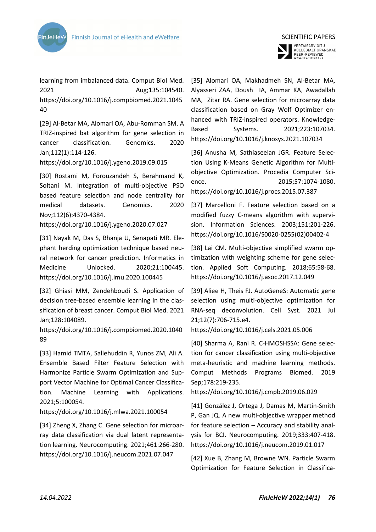

learning from imbalanced data. Comput Biol Med. 2021 Aug;135:104540. https://doi.org/10.1016/j.compbiomed.2021.1045 40

[29] Al-Betar MA, Alomari OA, Abu-Romman SM. A TRIZ-inspired bat algorithm for gene selection in cancer classification. Genomics. 2020 Jan;112(1):114-126.

https://doi.org/10.1016/j.ygeno.2019.09.015

[30] Rostami M, Forouzandeh S, Berahmand K, Soltani M. Integration of multi-objective PSO based feature selection and node centrality for medical datasets. Genomics. 2020 Nov;112(6):4370-4384.

https://doi.org/10.1016/j.ygeno.2020.07.027

[31] Nayak M, Das S, Bhanja U, Senapati MR. Elephant herding optimization technique based neural network for cancer prediction. Informatics in Medicine Unlocked. 2020;21:100445. https://doi.org/10.1016/j.imu.2020.100445

[32] Ghiasi MM, Zendehboudi S. Application of decision tree-based ensemble learning in the classification of breast cancer. Comput Biol Med. 2021 Jan;128:104089.

https://doi.org/10.1016/j.compbiomed.2020.1040 89

[33] Hamid TMTA, Sallehuddin R, Yunos ZM, Ali A. Ensemble Based Filter Feature Selection with Harmonize Particle Swarm Optimization and Support Vector Machine for Optimal Cancer Classification. Machine Learning with Applications. 2021;5:100054.

https://doi.org/10.1016/j.mlwa.2021.100054

[34] Zheng X, Zhang C. Gene selection for microarray data classification via dual latent representation learning. Neurocomputing. 2021;461:266-280. https://doi.org/10.1016/j.neucom.2021.07.047



VERTAISARVIOITU<br>KOLLEGIALT GRANSKAD<br>PEER-REVIEWED<br>www.tsv.fi/tunnus

[35] Alomari OA, Makhadmeh SN, Al-Betar MA, Alyasseri ZAA, Doush IA, Ammar KA, Awadallah MA, Zitar RA. Gene selection for microarray data classification based on Gray Wolf Optimizer enhanced with TRIZ-inspired operators. Knowledge-Based Systems. 2021;223:107034. https://doi.org/10.1016/j.knosys.2021.107034

[36] Anusha M, Sathiaseelan JGR. Feature Selection Using K-Means Genetic Algorithm for Multiobjective Optimization. Procedia Computer Science. 2015;57:1074-1080. https://doi.org/10.1016/j.procs.2015.07.387

[37] Marcelloni F. Feature selection based on a modified fuzzy C-means algorithm with supervision. Information Sciences. 2003;151:201-226. https://doi.org/10.1016/S0020-0255(02)00402-4

[38] Lai CM. Multi-objective simplified swarm optimization with weighting scheme for gene selection. Applied Soft Computing. 2018;65:58-68. https://doi.org/10.1016/j.asoc.2017.12.049

[39] Aliee H, Theis FJ. AutoGeneS: Automatic gene selection using multi-objective optimization for RNA-seq deconvolution. Cell Syst. 2021 Jul 21;12(7):706-715.e4.

https://doi.org/10.1016/j.cels.2021.05.006

[40] Sharma A, Rani R. C-HMOSHSSA: Gene selection for cancer classification using multi-objective meta-heuristic and machine learning methods. Comput Methods Programs Biomed. 2019 Sep;178:219-235.

https://doi.org/10.1016/j.cmpb.2019.06.029

[41] González J, Ortega J, Damas M, Martin-Smith P, Gan JQ. A new multi-objective wrapper method for feature selection – Accuracy and stability analysis for BCI. Neurocomputing. 2019;333:407-418. https://doi.org/10.1016/j.neucom.2019.01.017

[42] Xue B, Zhang M, Browne WN. Particle Swarm Optimization for Feature Selection in Classifica-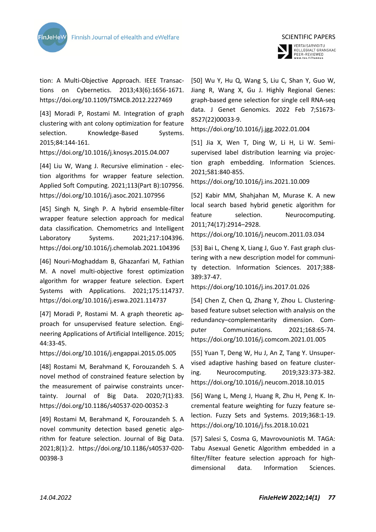



tion: A Multi-Objective Approach. IEEE Transactions on Cybernetics. 2013;43(6):1656-1671. https://doi.org/10.1109/TSMCB.2012.2227469

[43] Moradi P, Rostami M. Integration of graph clustering with ant colony optimization for feature selection. Knowledge-Based Systems. 2015;84:144-161.

https://doi.org/10.1016/j.knosys.2015.04.007

[44] Liu W, Wang J. Recursive elimination - election algorithms for wrapper feature selection. Applied Soft Computing. 2021;113(Part B):107956. https://doi.org/10.1016/j.asoc.2021.107956

[45] Singh N, Singh P. A hybrid ensemble-filter wrapper feature selection approach for medical data classification. Chemometrics and Intelligent Laboratory Systems. 2021;217:104396. https://doi.org/10.1016/j.chemolab.2021.104396

[46] Nouri-Moghaddam B, Ghazanfari M, Fathian M. A novel multi-objective forest optimization algorithm for wrapper feature selection. Expert Systems with Applications. 2021;175:114737. https://doi.org/10.1016/j.eswa.2021.114737

[47] Moradi P, Rostami M. A graph theoretic approach for unsupervised feature selection. Engineering Applications of Artificial Intelligence. 2015; 44:33-45.

https://doi.org/10.1016/j.engappai.2015.05.005

[48] Rostami M, Berahmand K, Forouzandeh S. A novel method of constrained feature selection by the measurement of pairwise constraints uncertainty. Journal of Big Data. 2020;7(1):83. https://doi.org/10.1186/s40537-020-00352-3

[49] Rostami M, Berahmand K, Forouzandeh S. A novel community detection based genetic algorithm for feature selection. Journal of Big Data. 2021;8(1):2. https://doi.org/10.1186/s40537-020- 00398-3

[50] Wu Y, Hu Q, Wang S, Liu C, Shan Y, Guo W, Jiang R, Wang X, Gu J. Highly Regional Genes: graph-based gene selection for single cell RNA-seq data. J Genet Genomics. 2022 Feb 7;S1673- 8527(22)00033-9.

https://doi.org/10.1016/j.jgg.2022.01.004

[51] Jia X, Wen T, Ding W, Li H, Li W. Semisupervised label distribution learning via projection graph embedding. Information Sciences. 2021;581:840-855.

https://doi.org/10.1016/j.ins.2021.10.009

[52] Kabir MM, Shahjahan M, Murase K. A new local search based hybrid genetic algorithm for feature selection. Neurocomputing. 2011;74(17):2914–2928. https://doi.org/10.1016/j.neucom.2011.03.034

[53] Bai L, Cheng X, Liang J, Guo Y. Fast graph clustering with a new description model for community detection. Information Sciences. 2017;388- 389:37-47.

https://doi.org/10.1016/j.ins.2017.01.026

[54] Chen Z, Chen Q, Zhang Y, Zhou L. Clusteringbased feature subset selection with analysis on the redundancy–complementarity dimension. Computer Communications. 2021;168:65-74. https://doi.org/10.1016/j.comcom.2021.01.005

[55] Yuan T, Deng W, Hu J, An Z, Tang Y. Unsupervised adaptive hashing based on feature clustering. Neurocomputing. 2019;323:373-382. https://doi.org/10.1016/j.neucom.2018.10.015

[56] Wang L, Meng J, Huang R, Zhu H, Peng K. Incremental feature weighting for fuzzy feature selection. Fuzzy Sets and Systems. 2019;368:1-19. https://doi.org/10.1016/j.fss.2018.10.021

[57] Salesi S, Cosma G, Mavrovouniotis M. TAGA: Tabu Asexual Genetic Algorithm embedded in a filter/filter feature selection approach for highdimensional data. Information Sciences.